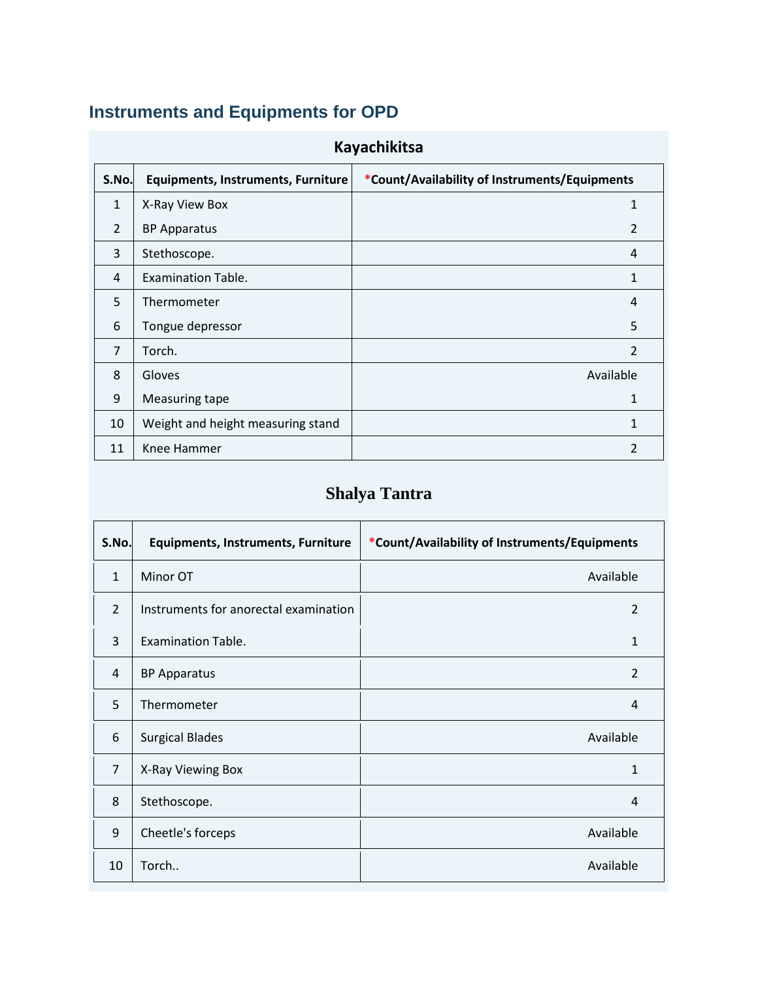# **Instruments and Equipments for OPD**

| <b>Kayachikitsa</b> |                                                                                                     |                |  |  |  |
|---------------------|-----------------------------------------------------------------------------------------------------|----------------|--|--|--|
|                     | *Count/Availability of Instruments/Equipments<br>S.No.<br><b>Equipments, Instruments, Furniture</b> |                |  |  |  |
| $\mathbf{1}$        | X-Ray View Box                                                                                      | 1              |  |  |  |
| $\overline{2}$      | <b>BP Apparatus</b>                                                                                 | $\overline{2}$ |  |  |  |
| 3                   | Stethoscope.                                                                                        | 4              |  |  |  |
| 4                   | <b>Examination Table.</b>                                                                           | 1              |  |  |  |
| 5                   | Thermometer                                                                                         | 4              |  |  |  |
| 6                   | Tongue depressor                                                                                    | 5              |  |  |  |
| $\overline{7}$      | Torch.                                                                                              | 2              |  |  |  |
| 8                   | Gloves                                                                                              | Available      |  |  |  |
| 9                   | Measuring tape                                                                                      | 1              |  |  |  |
| 10                  | Weight and height measuring stand                                                                   | 1              |  |  |  |
| 11                  | Knee Hammer                                                                                         | 2              |  |  |  |

### **Shalya Tantra**

| S.No.          | <b>Equipments, Instruments, Furniture</b> | *Count/Availability of Instruments/Equipments |
|----------------|-------------------------------------------|-----------------------------------------------|
| $\mathbf{1}$   | Minor OT                                  | Available                                     |
| $\mathcal{P}$  | Instruments for anorectal examination     | $\overline{2}$                                |
| 3              | <b>Examination Table.</b>                 | 1                                             |
| 4              | <b>BP Apparatus</b>                       | 2                                             |
| 5              | Thermometer                               | 4                                             |
| 6              | <b>Surgical Blades</b>                    | Available                                     |
| $\overline{7}$ | X-Ray Viewing Box                         | 1                                             |
| 8              | Stethoscope.                              | 4                                             |
| 9              | Cheetle's forceps                         | Available                                     |
| 10             | Torch                                     | Available                                     |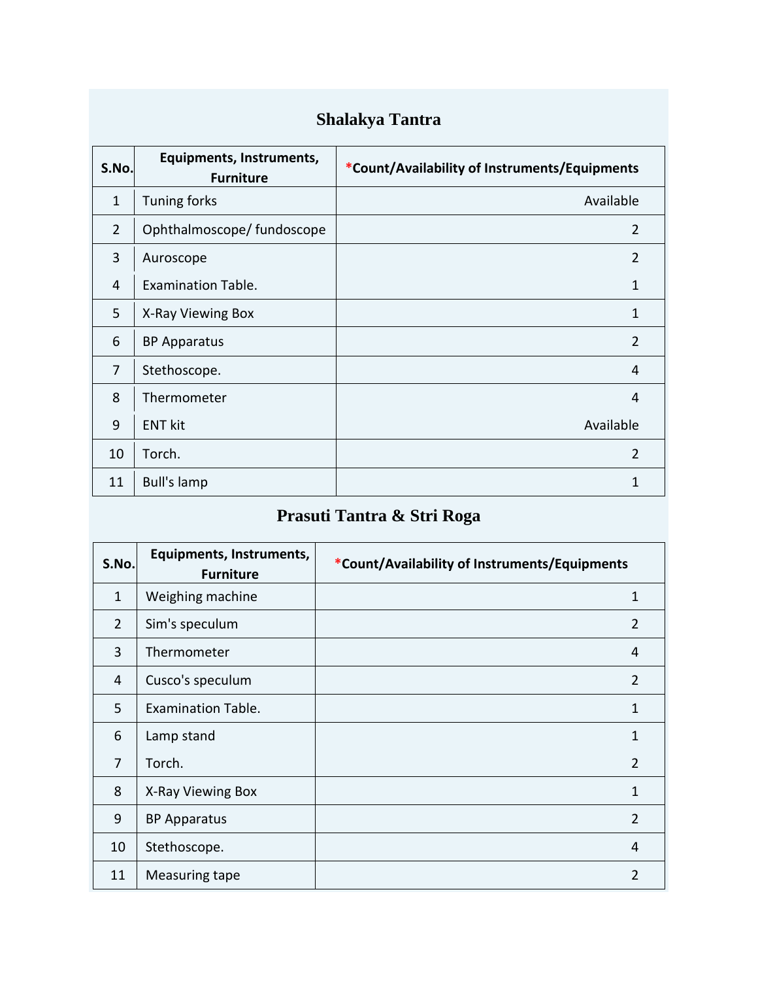# **Shalakya Tantra**

| S.No.          | Equipments, Instruments,<br><b>Furniture</b> | *Count/Availability of Instruments/Equipments |
|----------------|----------------------------------------------|-----------------------------------------------|
| $\mathbf{1}$   | Tuning forks                                 | Available                                     |
| $\overline{2}$ | Ophthalmoscope/ fundoscope                   | 2                                             |
| 3              | Auroscope                                    | 2                                             |
| 4              | <b>Examination Table.</b>                    | 1                                             |
| 5              | X-Ray Viewing Box                            | 1                                             |
| 6              | <b>BP Apparatus</b>                          | 2                                             |
| $\overline{7}$ | Stethoscope.                                 | 4                                             |
| 8              | Thermometer                                  | 4                                             |
| 9              | <b>ENT kit</b>                               | Available                                     |
| 10             | Torch.                                       | $\overline{2}$                                |
| 11             | <b>Bull's lamp</b>                           | 1                                             |

# **Prasuti Tantra & Stri Roga**

| S.No.          | Equipments, Instruments,<br><b>Furniture</b> | *Count/Availability of Instruments/Equipments |  |
|----------------|----------------------------------------------|-----------------------------------------------|--|
| $\mathbf{1}$   | Weighing machine                             | 1                                             |  |
| $\overline{2}$ | Sim's speculum                               | 2                                             |  |
| 3              | Thermometer                                  | 4                                             |  |
| 4              | Cusco's speculum                             | $\overline{2}$                                |  |
| 5              | <b>Examination Table.</b>                    | 1                                             |  |
| 6              | Lamp stand                                   | 1                                             |  |
| $\overline{7}$ | Torch.                                       | $\overline{2}$                                |  |
| 8              | X-Ray Viewing Box                            | 1                                             |  |
| 9              | <b>BP Apparatus</b>                          | 2                                             |  |
| 10             | Stethoscope.                                 | 4                                             |  |
| 11             | Measuring tape                               | $\overline{2}$                                |  |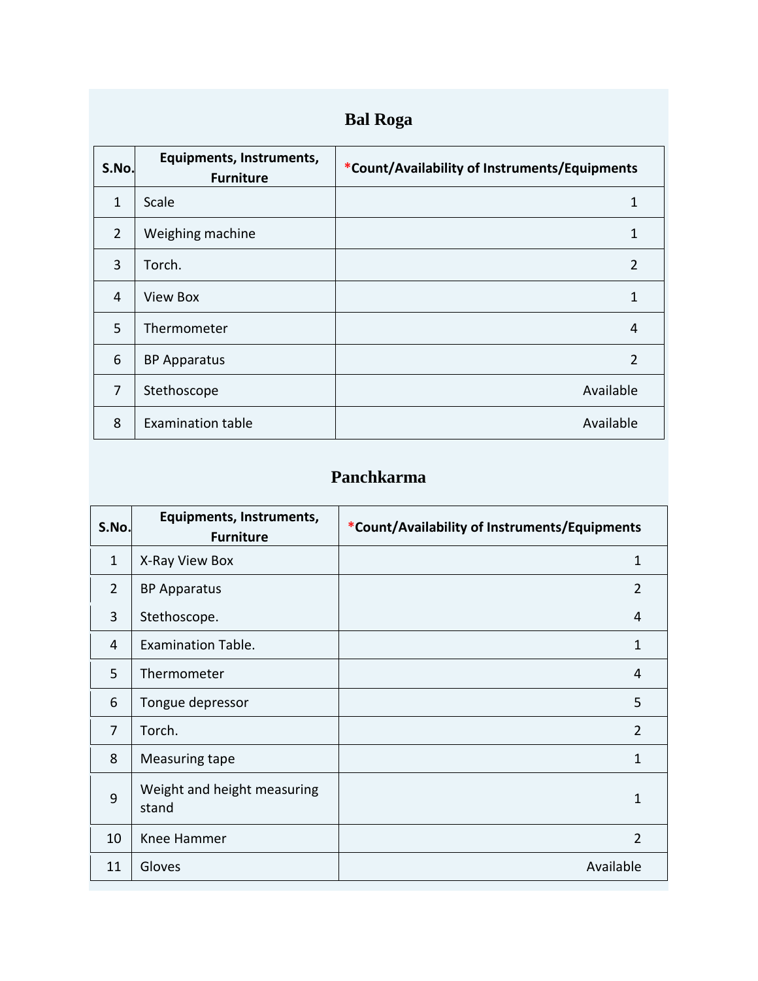|  | <b>Bal Roga</b> |
|--|-----------------|
|--|-----------------|

| S.No.          | Equipments, Instruments,<br><b>Furniture</b> | *Count/Availability of Instruments/Equipments |
|----------------|----------------------------------------------|-----------------------------------------------|
| $\mathbf{1}$   | Scale                                        | 1                                             |
| $\overline{2}$ | Weighing machine                             | 1                                             |
| 3              | Torch.                                       | 2                                             |
| 4              | View Box                                     | 1                                             |
| 5              | Thermometer                                  | 4                                             |
| 6              | <b>BP Apparatus</b>                          | $\overline{2}$                                |
| 7              | Stethoscope                                  | Available                                     |
| 8              | <b>Examination table</b>                     | Available                                     |

#### **Panchkarma**

| S.No.          | Equipments, Instruments,<br><b>Furniture</b> | *Count/Availability of Instruments/Equipments |
|----------------|----------------------------------------------|-----------------------------------------------|
| $\mathbf{1}$   | X-Ray View Box                               | 1                                             |
| $\overline{2}$ | <b>BP Apparatus</b>                          | $\overline{2}$                                |
| 3              | Stethoscope.                                 | 4                                             |
| 4              | <b>Examination Table.</b>                    | 1                                             |
| 5              | Thermometer                                  | 4                                             |
| 6              | Tongue depressor                             | 5                                             |
| $\overline{7}$ | Torch.                                       | $\mathcal{P}$                                 |
| 8              | Measuring tape                               | 1                                             |
| 9              | Weight and height measuring<br>stand         | 1                                             |
| 10             | Knee Hammer                                  | $\overline{2}$                                |
| 11             | Gloves                                       | Available                                     |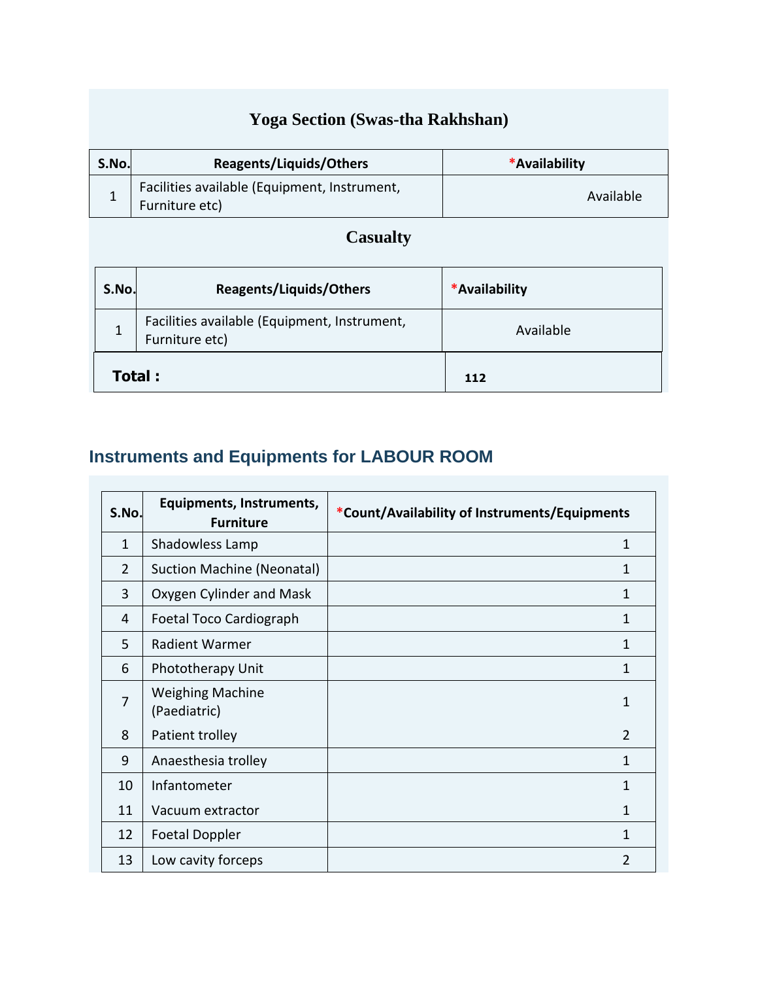### **Yoga Section (Swas-tha Rakhshan)**

| S.No. | Reagents/Liquids/Others                                        | *Availability |
|-------|----------------------------------------------------------------|---------------|
|       | Facilities available (Equipment, Instrument,<br>Furniture etc) | Available     |

### **Casualty**

| <b>Reagents/Liquids/Others</b><br>S.No.                        |  | *Availability |  |
|----------------------------------------------------------------|--|---------------|--|
| Facilities available (Equipment, Instrument,<br>Furniture etc) |  | Available     |  |
| Total:                                                         |  | 112           |  |

# **Instruments and Equipments for LABOUR ROOM**

| S.No.          | <b>Equipments, Instruments,</b><br><b>Furniture</b> | *Count/Availability of Instruments/Equipments |  |
|----------------|-----------------------------------------------------|-----------------------------------------------|--|
| $\mathbf{1}$   | Shadowless Lamp                                     | 1                                             |  |
| $\overline{2}$ | <b>Suction Machine (Neonatal)</b>                   | 1                                             |  |
| 3              | Oxygen Cylinder and Mask                            | 1                                             |  |
| 4              | Foetal Toco Cardiograph                             | 1                                             |  |
| 5              | <b>Radient Warmer</b>                               | 1                                             |  |
| 6              | Phototherapy Unit                                   | 1                                             |  |
| $\overline{7}$ | <b>Weighing Machine</b><br>(Paediatric)             | 1                                             |  |
| 8              | Patient trolley                                     | $\overline{2}$                                |  |
| 9              | Anaesthesia trolley                                 | 1                                             |  |
| 10             | Infantometer                                        | 1                                             |  |
| 11             | Vacuum extractor                                    | 1                                             |  |
| 12             | <b>Foetal Doppler</b>                               | 1                                             |  |
| 13             | Low cavity forceps                                  | $\overline{2}$                                |  |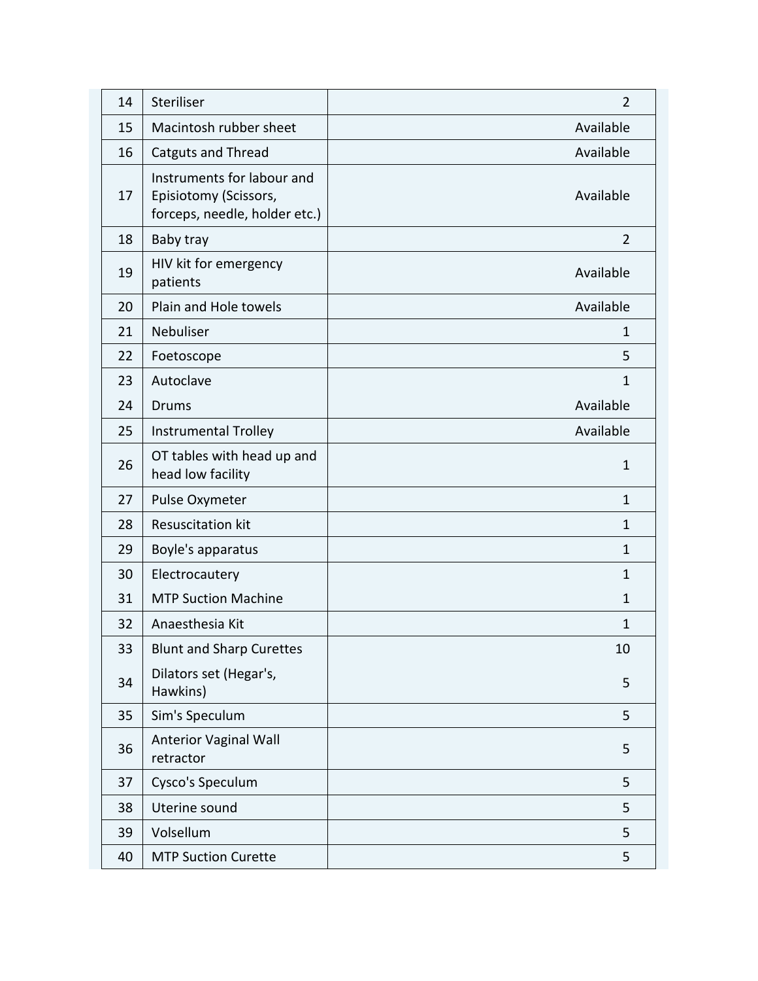| 14 | Steriliser                                                                           | $\overline{2}$ |
|----|--------------------------------------------------------------------------------------|----------------|
| 15 | Macintosh rubber sheet                                                               | Available      |
| 16 | <b>Catguts and Thread</b>                                                            | Available      |
| 17 | Instruments for labour and<br>Episiotomy (Scissors,<br>forceps, needle, holder etc.) | Available      |
| 18 | Baby tray                                                                            | $\overline{2}$ |
| 19 | HIV kit for emergency<br>patients                                                    | Available      |
| 20 | Plain and Hole towels                                                                | Available      |
| 21 | Nebuliser                                                                            | 1              |
| 22 | Foetoscope                                                                           | 5              |
| 23 | Autoclave                                                                            | $\mathbf{1}$   |
| 24 | <b>Drums</b>                                                                         | Available      |
| 25 | <b>Instrumental Trolley</b>                                                          | Available      |
| 26 | OT tables with head up and<br>head low facility                                      | $\mathbf{1}$   |
| 27 | Pulse Oxymeter                                                                       | $\mathbf{1}$   |
| 28 | <b>Resuscitation kit</b>                                                             | $\mathbf{1}$   |
| 29 | Boyle's apparatus                                                                    | $\mathbf{1}$   |
| 30 | Electrocautery                                                                       | $\mathbf{1}$   |
| 31 | <b>MTP Suction Machine</b>                                                           | $\mathbf{1}$   |
| 32 | Anaesthesia Kit                                                                      | $\mathbf{1}$   |
| 33 | <b>Blunt and Sharp Curettes</b>                                                      | 10             |
| 34 | Dilators set (Hegar's,<br>Hawkins)                                                   | 5              |
| 35 | Sim's Speculum                                                                       | 5              |
| 36 | <b>Anterior Vaginal Wall</b><br>retractor                                            | 5              |
| 37 | Cysco's Speculum                                                                     | 5              |
| 38 | Uterine sound                                                                        | 5              |
| 39 | Volsellum                                                                            | 5              |
| 40 | <b>MTP Suction Curette</b>                                                           | 5              |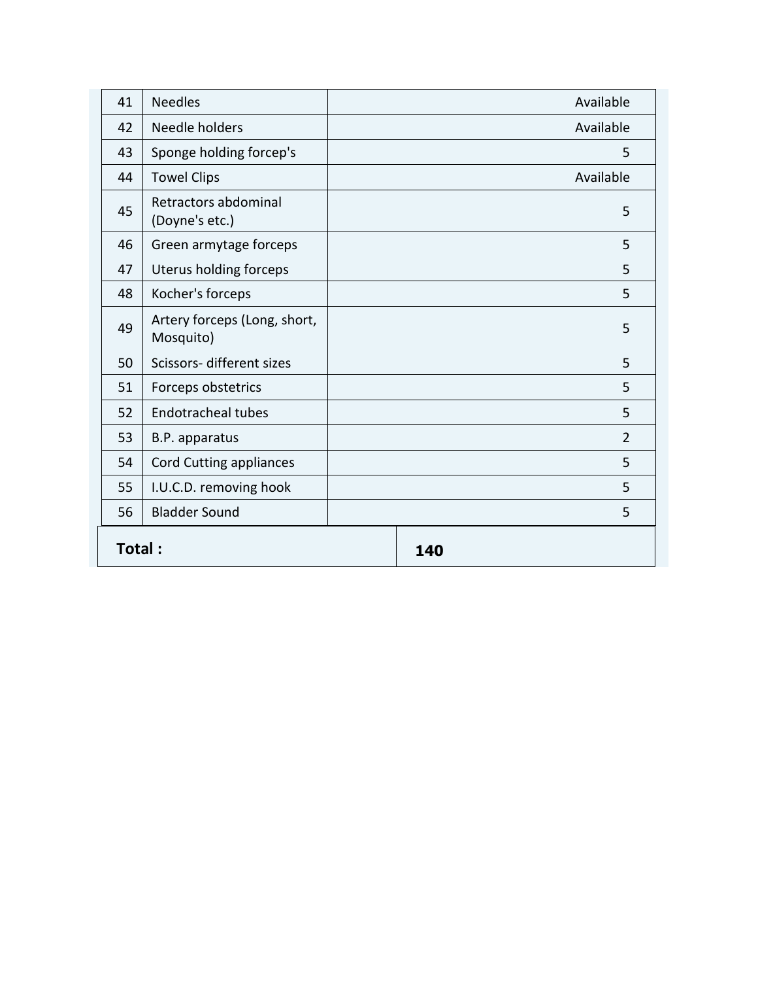| 41     | <b>Needles</b>                            |     | Available |
|--------|-------------------------------------------|-----|-----------|
| 42     | Needle holders                            |     | Available |
| 43     | Sponge holding forcep's                   |     | 5         |
| 44     | <b>Towel Clips</b>                        |     | Available |
| 45     | Retractors abdominal<br>(Doyne's etc.)    |     | 5         |
| 46     | Green armytage forceps                    |     | 5         |
| 47     | Uterus holding forceps                    |     | 5         |
| 48     | Kocher's forceps                          |     | 5         |
| 49     | Artery forceps (Long, short,<br>Mosquito) |     | 5         |
| 50     | Scissors- different sizes                 |     | 5         |
| 51     | Forceps obstetrics                        |     | 5         |
| 52     | <b>Endotracheal tubes</b>                 |     | 5         |
| 53     | B.P. apparatus                            |     | 2         |
| 54     | <b>Cord Cutting appliances</b>            |     | 5         |
| 55     | I.U.C.D. removing hook                    |     | 5         |
| 56     | <b>Bladder Sound</b>                      |     | 5         |
| Total: |                                           | 140 |           |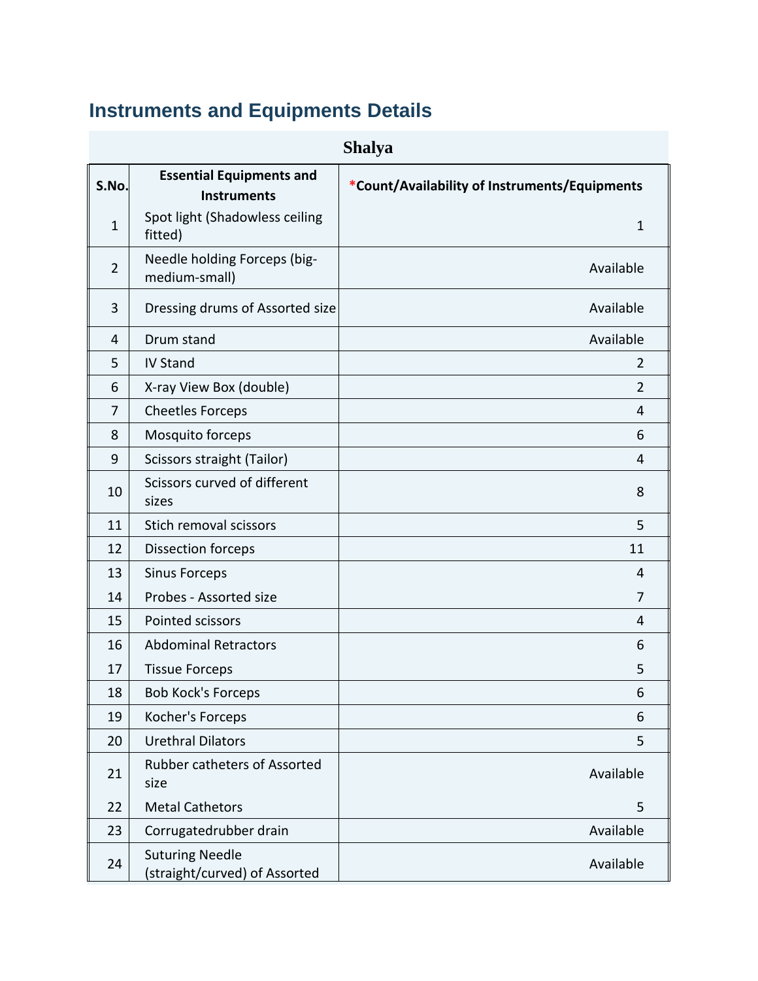# **Instruments and Equipments Details**

| <b>Shalya</b>  |                                                         |                                               |
|----------------|---------------------------------------------------------|-----------------------------------------------|
| S.No.          | <b>Essential Equipments and</b><br><b>Instruments</b>   | *Count/Availability of Instruments/Equipments |
| $\mathbf{1}$   | Spot light (Shadowless ceiling<br>fitted)               | $\mathbf{1}$                                  |
| $\overline{2}$ | Needle holding Forceps (big-<br>medium-small)           | Available                                     |
| 3              | Dressing drums of Assorted size                         | Available                                     |
| 4              | Drum stand                                              | Available                                     |
| 5              | <b>IV Stand</b>                                         | $\overline{2}$                                |
| 6              | X-ray View Box (double)                                 | $\overline{2}$                                |
| $\overline{7}$ | <b>Cheetles Forceps</b>                                 | 4                                             |
| 8              | Mosquito forceps                                        | 6                                             |
| 9              | Scissors straight (Tailor)                              | 4                                             |
| 10             | Scissors curved of different<br>sizes                   | 8                                             |
| 11             | Stich removal scissors                                  | 5                                             |
| 12             | <b>Dissection forceps</b>                               | 11                                            |
| 13             | <b>Sinus Forceps</b>                                    | 4                                             |
| 14             | Probes - Assorted size                                  | 7                                             |
| 15             | Pointed scissors                                        | 4                                             |
| 16             | <b>Abdominal Retractors</b>                             | 6                                             |
| 17             | <b>Tissue Forceps</b>                                   | 5                                             |
| 18             | <b>Bob Kock's Forceps</b>                               | 6                                             |
| 19             | Kocher's Forceps                                        | 6                                             |
| 20             | <b>Urethral Dilators</b>                                | 5                                             |
| 21             | <b>Rubber catheters of Assorted</b><br>size             | Available                                     |
| 22             | <b>Metal Cathetors</b>                                  | 5                                             |
| 23             | Corrugatedrubber drain                                  | Available                                     |
| 24             | <b>Suturing Needle</b><br>(straight/curved) of Assorted | Available                                     |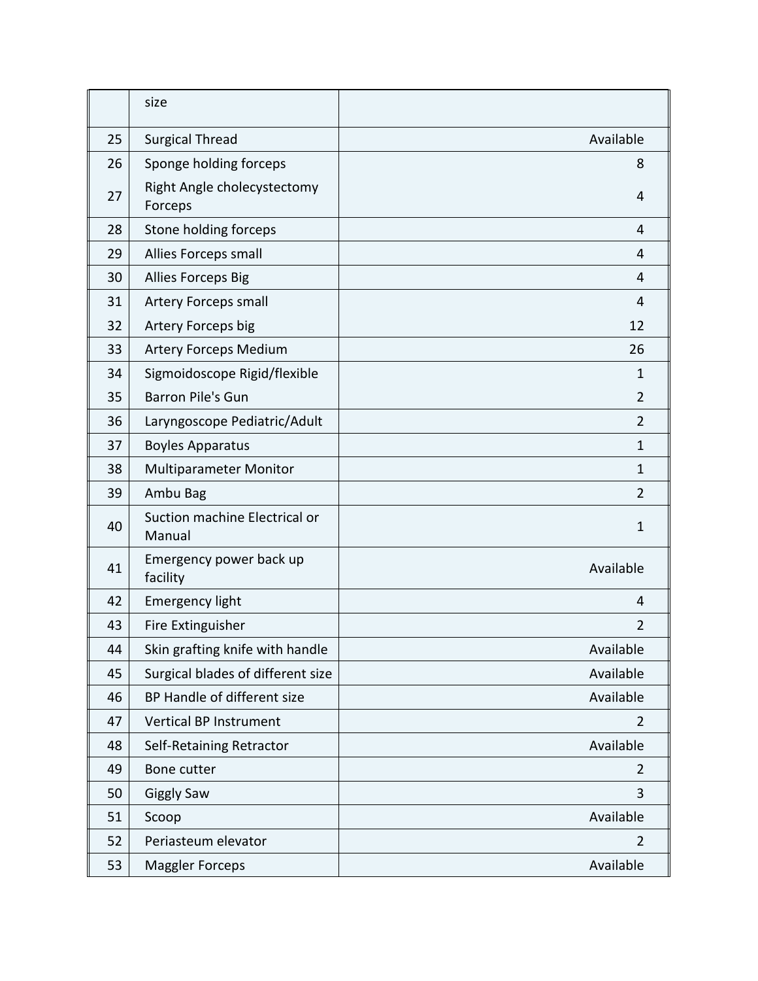|    | size                                    |                |
|----|-----------------------------------------|----------------|
| 25 | <b>Surgical Thread</b>                  | Available      |
| 26 | Sponge holding forceps                  | 8              |
| 27 | Right Angle cholecystectomy<br>Forceps  | 4              |
| 28 | Stone holding forceps                   | 4              |
| 29 | Allies Forceps small                    | 4              |
| 30 | Allies Forceps Big                      | 4              |
| 31 | Artery Forceps small                    | 4              |
| 32 | Artery Forceps big                      | 12             |
| 33 | <b>Artery Forceps Medium</b>            | 26             |
| 34 | Sigmoidoscope Rigid/flexible            | 1              |
| 35 | <b>Barron Pile's Gun</b>                | $\overline{2}$ |
| 36 | Laryngoscope Pediatric/Adult            | $\overline{2}$ |
| 37 | <b>Boyles Apparatus</b>                 | $\mathbf{1}$   |
| 38 | <b>Multiparameter Monitor</b>           | 1              |
| 39 | Ambu Bag                                | 2              |
| 40 | Suction machine Electrical or<br>Manual | 1              |
| 41 | Emergency power back up<br>facility     | Available      |
| 42 | <b>Emergency light</b>                  | 4              |
| 43 | Fire Extinguisher                       | $\overline{2}$ |
| 44 | Skin grafting knife with handle         | Available      |
| 45 | Surgical blades of different size       | Available      |
| 46 | BP Handle of different size             | Available      |
| 47 | Vertical BP Instrument                  | $\overline{2}$ |
| 48 | Self-Retaining Retractor                | Available      |
| 49 | Bone cutter                             | 2              |
| 50 | <b>Giggly Saw</b>                       | 3              |
| 51 | Scoop                                   | Available      |
| 52 | Periasteum elevator                     | $\overline{2}$ |
| 53 | <b>Maggler Forceps</b>                  | Available      |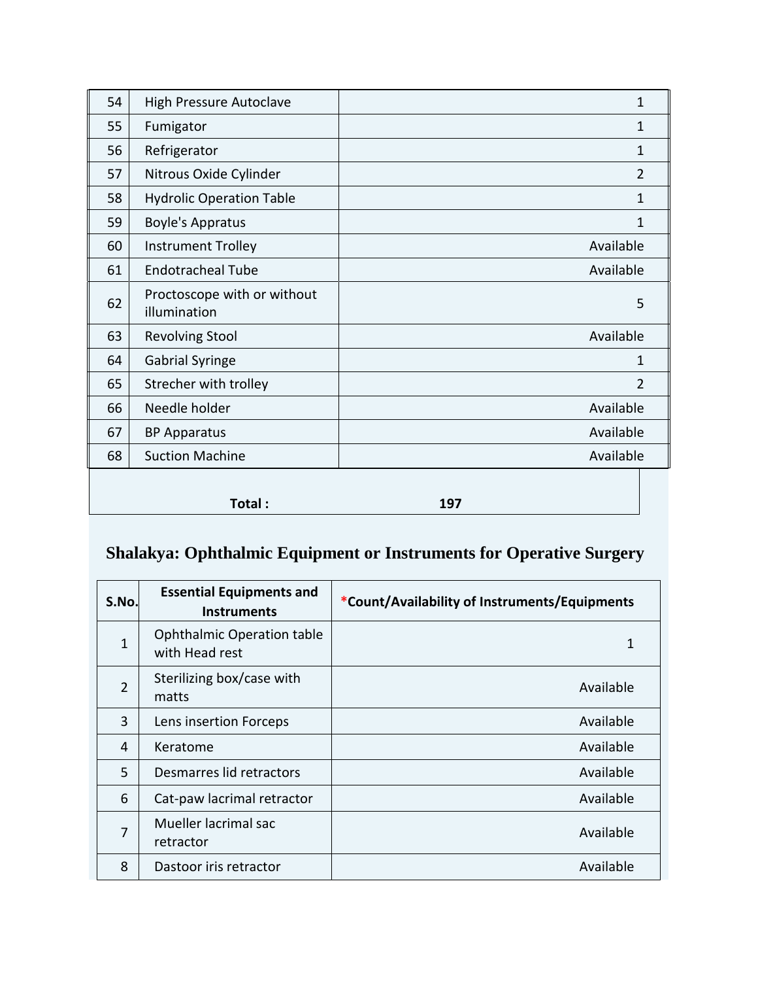| 54 | <b>High Pressure Autoclave</b>              | 1              |
|----|---------------------------------------------|----------------|
| 55 | Fumigator                                   | $\mathbf 1$    |
| 56 | Refrigerator                                | $\mathbf{1}$   |
| 57 | Nitrous Oxide Cylinder                      | $\overline{2}$ |
| 58 | <b>Hydrolic Operation Table</b>             | 1              |
| 59 | <b>Boyle's Appratus</b>                     | 1              |
| 60 | <b>Instrument Trolley</b>                   | Available      |
| 61 | <b>Endotracheal Tube</b>                    | Available      |
| 62 | Proctoscope with or without<br>illumination | 5              |
| 63 | <b>Revolving Stool</b>                      | Available      |
| 64 | <b>Gabrial Syringe</b>                      | 1              |
| 65 | Strecher with trolley                       | $\overline{2}$ |
| 66 | Needle holder                               | Available      |
| 67 | <b>BP Apparatus</b>                         | Available      |
| 68 | <b>Suction Machine</b>                      | Available      |
|    | Total:                                      | 197            |

# **Shalakya: Ophthalmic Equipment or Instruments for Operative Surgery**

| S.No.          | <b>Essential Equipments and</b><br><b>Instruments</b> | *Count/Availability of Instruments/Equipments |
|----------------|-------------------------------------------------------|-----------------------------------------------|
| 1              | <b>Ophthalmic Operation table</b><br>with Head rest   | 1                                             |
| $\overline{2}$ | Sterilizing box/case with<br>matts                    | Available                                     |
| 3              | Lens insertion Forceps                                | Available                                     |
| 4              | Keratome                                              | Available                                     |
| 5              | Desmarres lid retractors                              | Available                                     |
| 6              | Cat-paw lacrimal retractor                            | Available                                     |
| 7              | Mueller lacrimal sac<br>retractor                     | Available                                     |
| 8              | Dastoor iris retractor                                | Available                                     |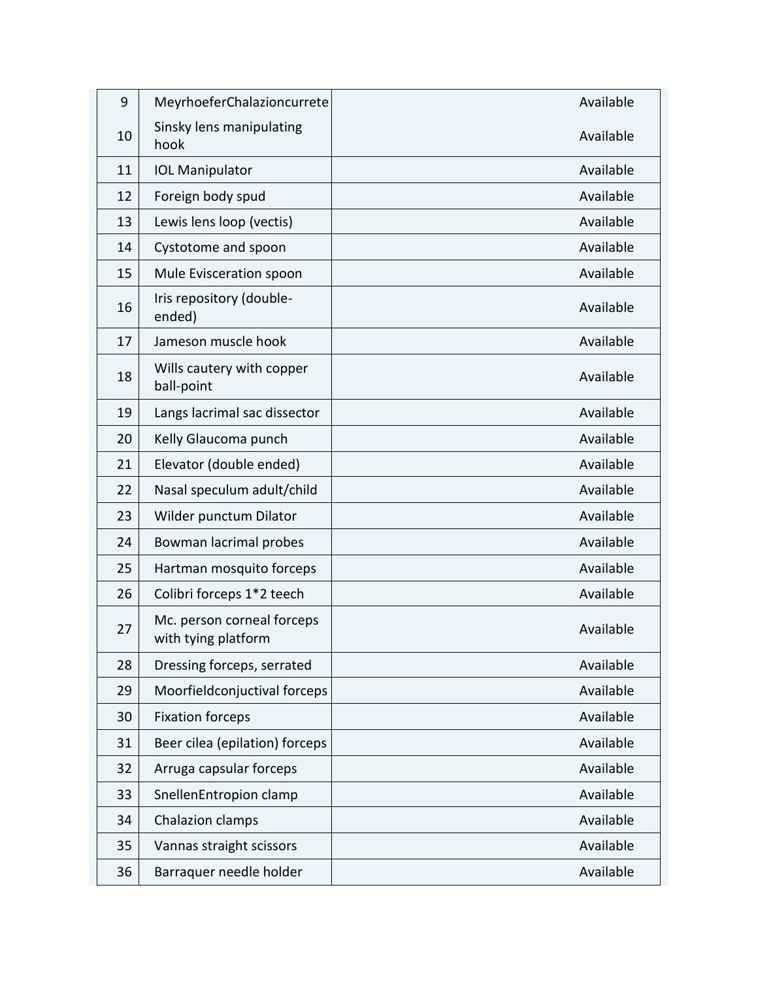| 9  | MeyrhoeferChalazioncurrete                        | Available |
|----|---------------------------------------------------|-----------|
| 10 | Sinsky lens manipulating<br>hook                  | Available |
| 11 | <b>IOL Manipulator</b>                            | Available |
| 12 | Foreign body spud                                 | Available |
| 13 | Lewis lens loop (vectis)                          | Available |
| 14 | Cystotome and spoon                               | Available |
| 15 | Mule Evisceration spoon                           | Available |
| 16 | Iris repository (double-<br>ended)                | Available |
| 17 | Jameson muscle hook                               | Available |
| 18 | Wills cautery with copper<br>ball-point           | Available |
| 19 | Langs lacrimal sac dissector                      | Available |
| 20 | Kelly Glaucoma punch                              | Available |
| 21 | Elevator (double ended)                           | Available |
| 22 | Nasal speculum adult/child                        | Available |
| 23 | Wilder punctum Dilator                            | Available |
| 24 | Bowman lacrimal probes                            | Available |
| 25 | Hartman mosquito forceps                          | Available |
| 26 | Colibri forceps 1*2 teech                         | Available |
| 27 | Mc. person corneal forceps<br>with tying platform | Available |
| 28 | Dressing forceps, serrated                        | Available |
| 29 | Moorfieldconjuctival forceps                      | Available |
| 30 | <b>Fixation forceps</b>                           | Available |
| 31 | Beer cilea (epilation) forceps                    | Available |
| 32 | Arruga capsular forceps                           | Available |
| 33 | SnellenEntropion clamp                            | Available |
| 34 | Chalazion clamps                                  | Available |
| 35 | Vannas straight scissors                          | Available |
| 36 | Barraquer needle holder                           | Available |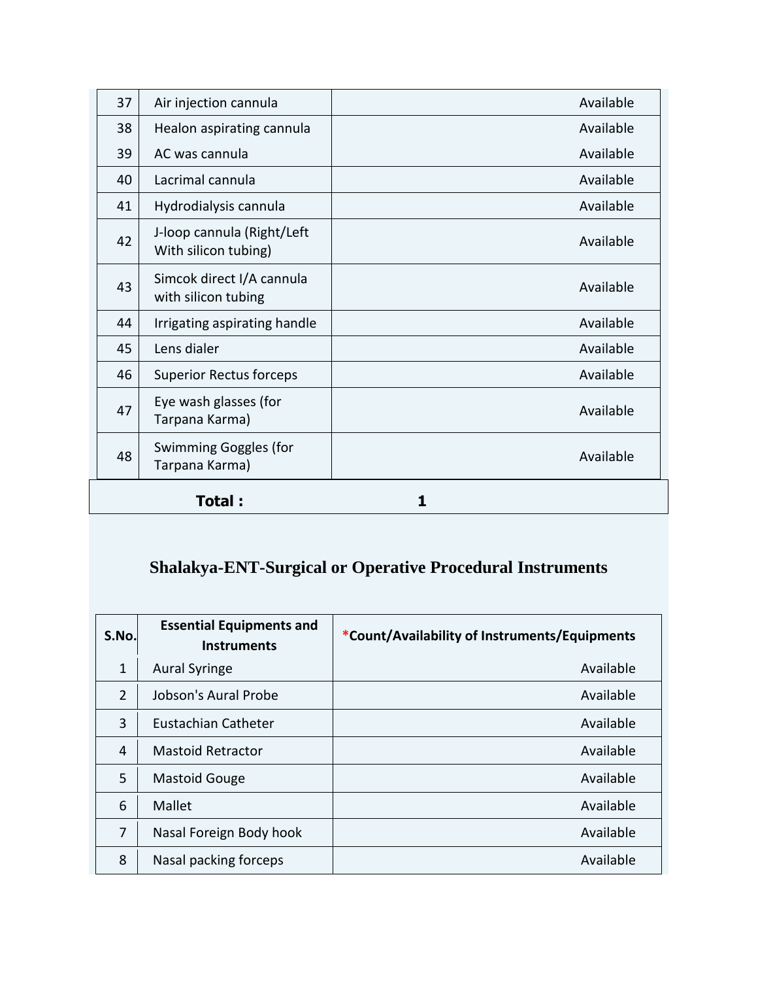| 37 | Air injection cannula                              | Available |
|----|----------------------------------------------------|-----------|
| 38 | Healon aspirating cannula                          | Available |
| 39 | AC was cannula                                     | Available |
| 40 | Lacrimal cannula                                   | Available |
| 41 | Hydrodialysis cannula                              | Available |
| 42 | J-loop cannula (Right/Left<br>With silicon tubing) | Available |
| 43 | Simcok direct I/A cannula<br>with silicon tubing   | Available |
| 44 | Irrigating aspirating handle                       | Available |
| 45 | Lens dialer                                        | Available |
| 46 | <b>Superior Rectus forceps</b>                     | Available |
| 47 | Eye wash glasses (for<br>Tarpana Karma)            | Available |
| 48 | Swimming Goggles (for<br>Tarpana Karma)            | Available |
|    | Total :                                            |           |

# **Shalakya-ENT-Surgical or Operative Procedural Instruments**

| S.No.          | <b>Essential Equipments and</b><br><b>Instruments</b> | *Count/Availability of Instruments/Equipments |
|----------------|-------------------------------------------------------|-----------------------------------------------|
| $\mathbf{1}$   | <b>Aural Syringe</b>                                  | Available                                     |
| $\overline{2}$ | Jobson's Aural Probe                                  | Available                                     |
| 3              | Eustachian Catheter                                   | Available                                     |
| 4              | <b>Mastoid Retractor</b>                              | Available                                     |
| 5              | <b>Mastoid Gouge</b>                                  | Available                                     |
| 6              | Mallet                                                | Available                                     |
| 7              | Nasal Foreign Body hook                               | Available                                     |
| 8              | Nasal packing forceps                                 | Available                                     |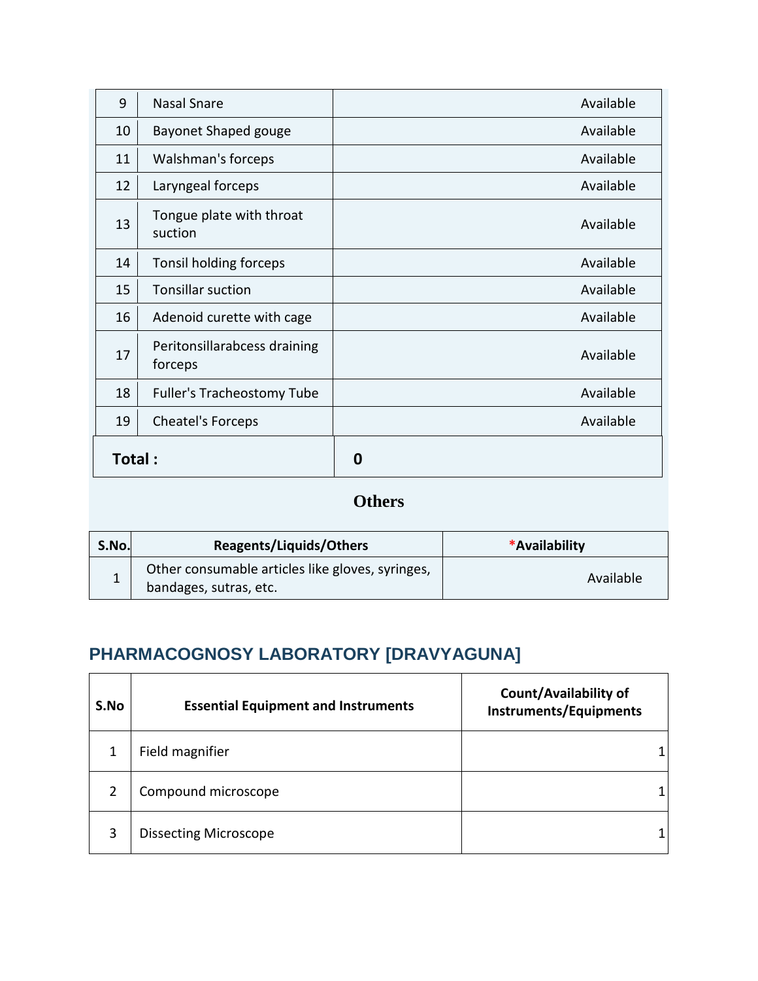| 9      | <b>Nasal Snare</b>                      | Available |
|--------|-----------------------------------------|-----------|
| 10     | <b>Bayonet Shaped gouge</b>             | Available |
| 11     | Walshman's forceps                      | Available |
| 12     | Laryngeal forceps                       | Available |
| 13     | Tongue plate with throat<br>suction     | Available |
| 14     | Tonsil holding forceps                  | Available |
| 15     | <b>Tonsillar suction</b>                | Available |
| 16     | Adenoid curette with cage               | Available |
| 17     | Peritonsillarabcess draining<br>forceps | Available |
| 18     | Fuller's Tracheostomy Tube              | Available |
| 19     | Cheatel's Forceps                       | Available |
| Total: |                                         | 0         |

#### **Others**

| S.No. | Reagents/Liquids/Others                                                    | *Availability |
|-------|----------------------------------------------------------------------------|---------------|
| T     | Other consumable articles like gloves, syringes,<br>bandages, sutras, etc. | Available     |

# **PHARMACOGNOSY LABORATORY [DRAVYAGUNA]**

| S.No | <b>Essential Equipment and Instruments</b> | Count/Availability of<br><b>Instruments/Equipments</b> |
|------|--------------------------------------------|--------------------------------------------------------|
|      | Field magnifier                            |                                                        |
|      | Compound microscope                        |                                                        |
| 3    | <b>Dissecting Microscope</b>               |                                                        |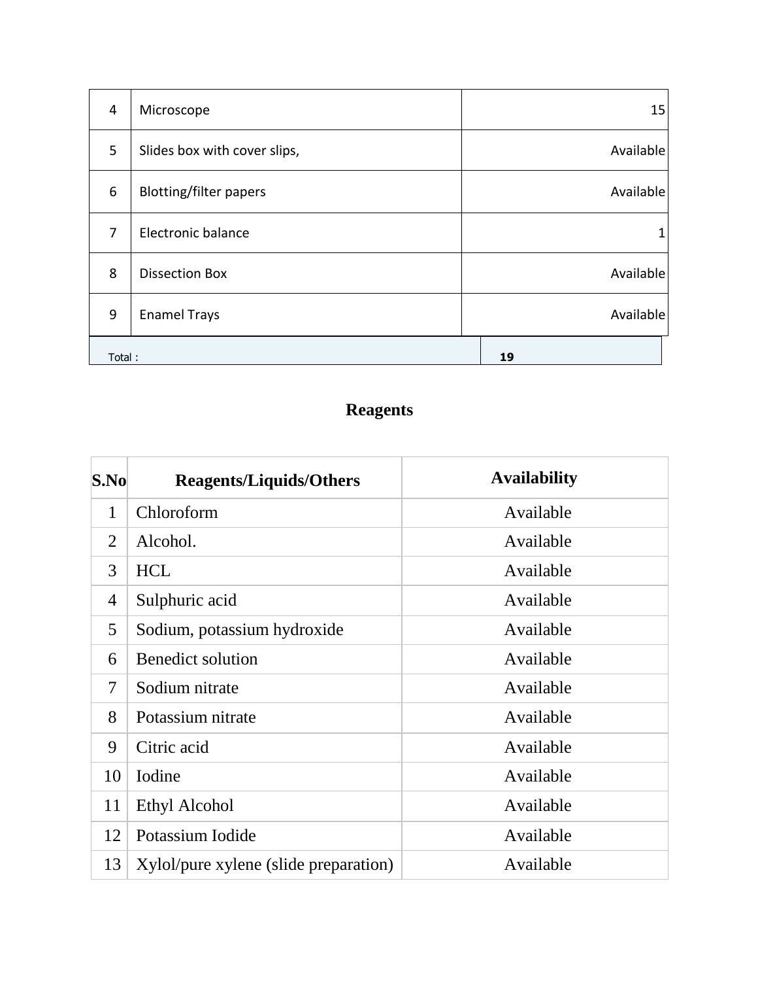| $\overline{4}$ | Microscope                    | 15        |
|----------------|-------------------------------|-----------|
| 5              | Slides box with cover slips,  | Available |
| 6              | <b>Blotting/filter papers</b> | Available |
| 7              | Electronic balance            |           |
| 8              | <b>Dissection Box</b>         | Available |
| 9              | <b>Enamel Trays</b>           | Available |
| Total:         |                               | 19        |

# **Reagents**

| S.No | <b>Reagents/Liquids/Others</b>        | <b>Availability</b> |
|------|---------------------------------------|---------------------|
| 1    | Chloroform                            | Available           |
| 2    | Alcohol.                              | Available           |
| 3    | <b>HCL</b>                            | Available           |
| 4    | Sulphuric acid                        | Available           |
| 5    | Sodium, potassium hydroxide           | Available           |
| 6    | <b>Benedict solution</b>              | Available           |
| 7    | Sodium nitrate                        | Available           |
| 8    | Potassium nitrate                     | Available           |
| 9    | Citric acid                           | Available           |
| 10   | Iodine                                | Available           |
| 11   | Ethyl Alcohol                         | Available           |
| 12   | Potassium Iodide                      | Available           |
| 13   | Xylol/pure xylene (slide preparation) | Available           |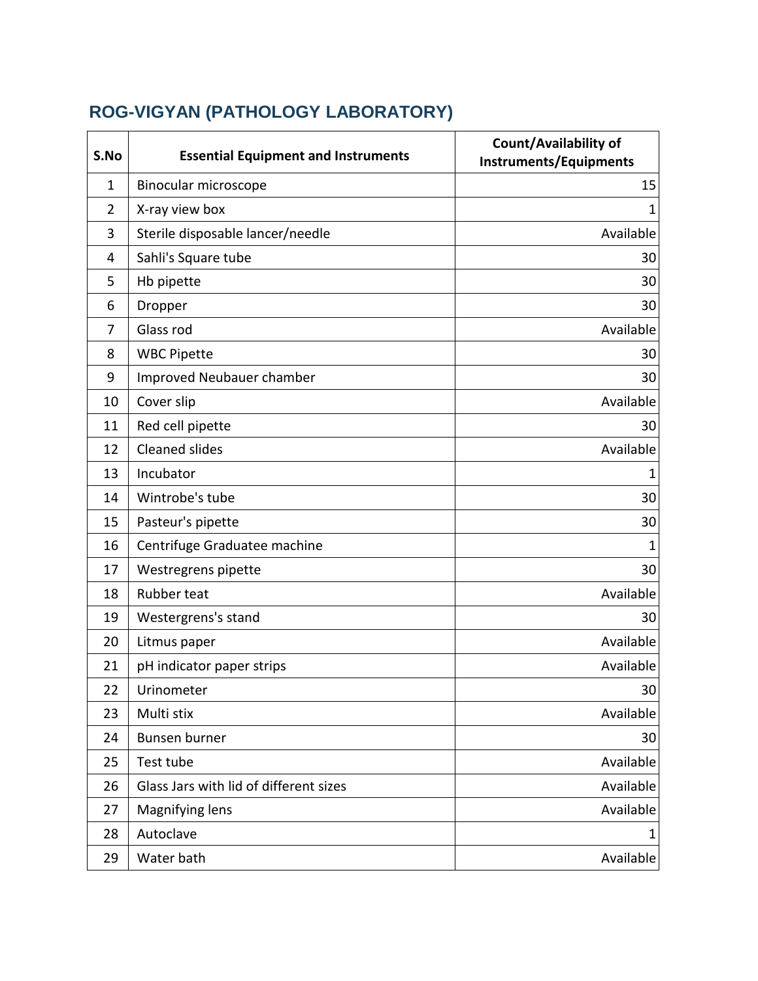# **ROG-VIGYAN (PATHOLOGY LABORATORY)**

| S.No           | <b>Essential Equipment and Instruments</b> | <b>Count/Availability of</b><br><b>Instruments/Equipments</b> |
|----------------|--------------------------------------------|---------------------------------------------------------------|
| $\mathbf 1$    | Binocular microscope                       | 15                                                            |
| $\overline{2}$ | X-ray view box                             | 1                                                             |
| 3              | Sterile disposable lancer/needle           | Available                                                     |
| 4              | Sahli's Square tube                        | 30                                                            |
| 5              | Hb pipette                                 | 30                                                            |
| 6              | Dropper                                    | 30                                                            |
| 7              | Glass rod                                  | Available                                                     |
| 8              | <b>WBC Pipette</b>                         | 30                                                            |
| 9              | Improved Neubauer chamber                  | 30                                                            |
| 10             | Cover slip                                 | Available                                                     |
| 11             | Red cell pipette                           | 30                                                            |
| 12             | <b>Cleaned slides</b>                      | Available                                                     |
| 13             | Incubator                                  | 1                                                             |
| 14             | Wintrobe's tube                            | 30                                                            |
| 15             | Pasteur's pipette                          | 30                                                            |
| 16             | Centrifuge Graduatee machine               | $\mathbf{1}$                                                  |
| 17             | Westregrens pipette                        | 30                                                            |
| 18             | Rubber teat                                | Available                                                     |
| 19             | Westergrens's stand                        | 30                                                            |
| 20             | Litmus paper                               | Available                                                     |
| 21             | pH indicator paper strips                  | Available                                                     |
| 22             | Urinometer                                 | 30                                                            |
| 23             | Multi stix                                 | Available                                                     |
| 24             | Bunsen burner                              | 30                                                            |
| 25             | Test tube                                  | Available                                                     |
| 26             | Glass Jars with lid of different sizes     | Available                                                     |
| 27             | Magnifying lens                            | Available                                                     |
| 28             | Autoclave                                  |                                                               |
| 29             | Water bath                                 | Available                                                     |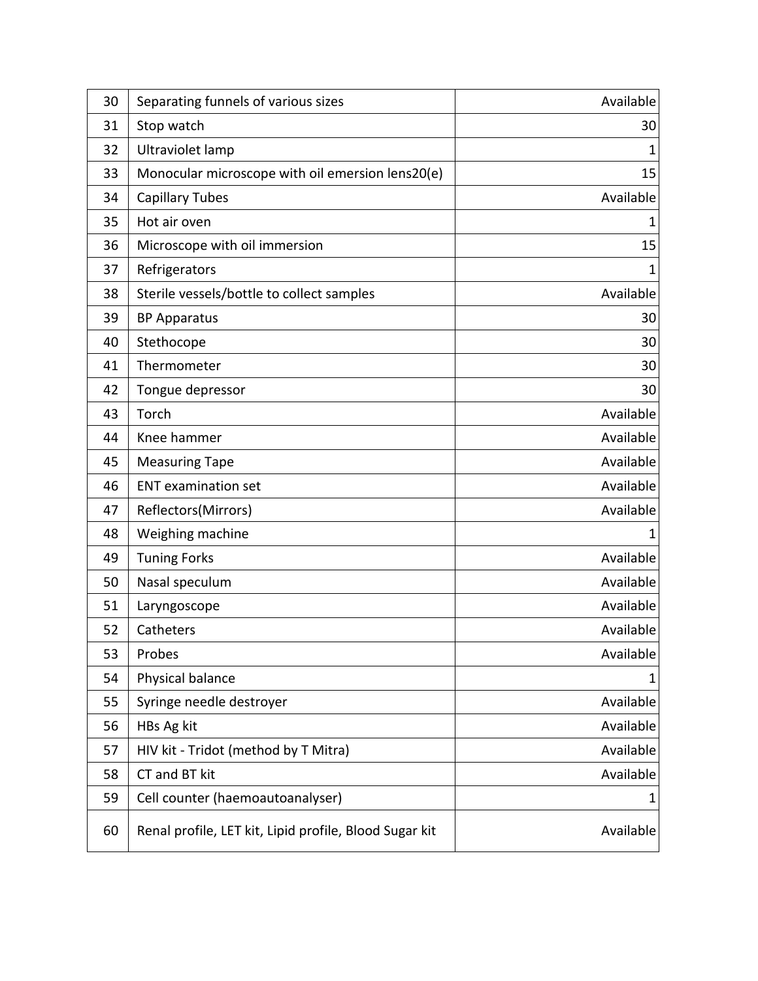| 30 | Separating funnels of various sizes                    | Available |
|----|--------------------------------------------------------|-----------|
| 31 | Stop watch                                             | 30        |
| 32 | Ultraviolet lamp                                       | 1         |
| 33 | Monocular microscope with oil emersion lens20(e)       | 15        |
| 34 | <b>Capillary Tubes</b>                                 | Available |
| 35 | Hot air oven                                           | 1         |
| 36 | Microscope with oil immersion                          | 15        |
| 37 | Refrigerators                                          | 1         |
| 38 | Sterile vessels/bottle to collect samples              | Available |
| 39 | <b>BP Apparatus</b>                                    | 30        |
| 40 | Stethocope                                             | 30        |
| 41 | Thermometer                                            | 30        |
| 42 | Tongue depressor                                       | 30        |
| 43 | Torch                                                  | Available |
| 44 | Knee hammer                                            | Available |
| 45 | <b>Measuring Tape</b>                                  | Available |
| 46 | <b>ENT</b> examination set                             | Available |
| 47 | Reflectors(Mirrors)                                    | Available |
| 48 | Weighing machine                                       | 1         |
| 49 | <b>Tuning Forks</b>                                    | Available |
| 50 | Nasal speculum                                         | Available |
| 51 | Laryngoscope                                           | Available |
| 52 | Catheters                                              | Available |
| 53 | Probes                                                 | Available |
| 54 | Physical balance                                       | 1         |
| 55 | Syringe needle destroyer                               | Available |
| 56 | HBs Ag kit                                             | Available |
| 57 | HIV kit - Tridot (method by T Mitra)                   | Available |
| 58 | CT and BT kit                                          | Available |
| 59 | Cell counter (haemoautoanalyser)                       | 1         |
| 60 | Renal profile, LET kit, Lipid profile, Blood Sugar kit | Available |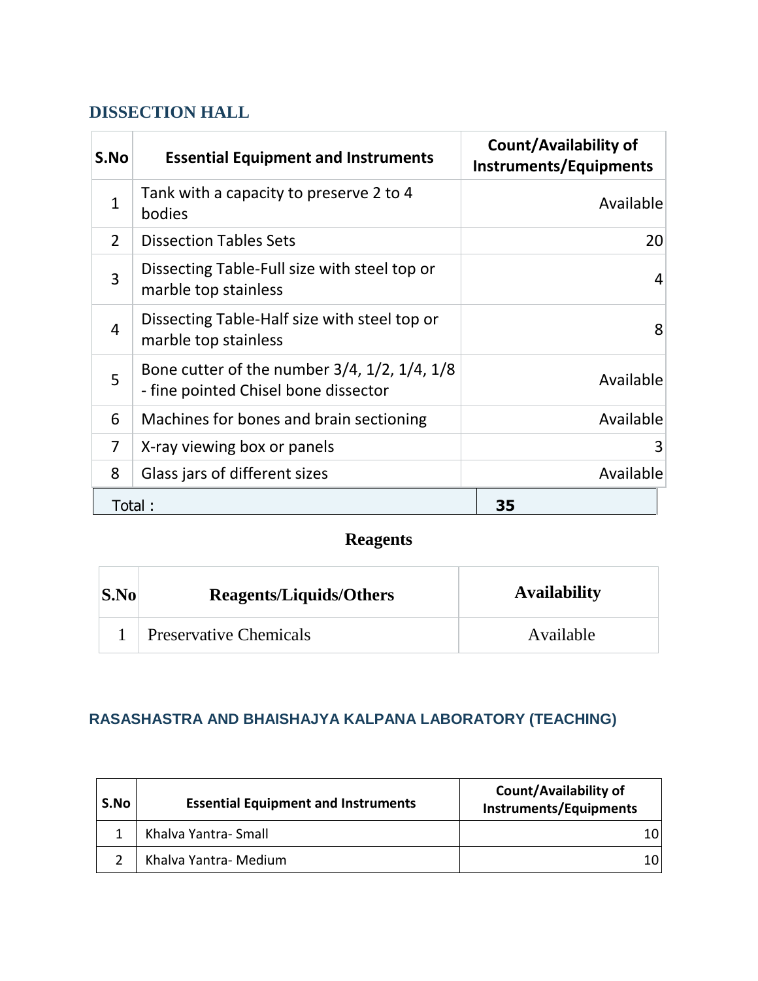#### **DISSECTION HALL**

| S.No           | <b>Essential Equipment and Instruments</b>                                           | <b>Count/Availability of</b><br><b>Instruments/Equipments</b> |
|----------------|--------------------------------------------------------------------------------------|---------------------------------------------------------------|
| $\mathbf{1}$   | Tank with a capacity to preserve 2 to 4<br>bodies                                    | Available                                                     |
| $\overline{2}$ | <b>Dissection Tables Sets</b>                                                        | 20                                                            |
| $\overline{3}$ | Dissecting Table-Full size with steel top or<br>marble top stainless                 | 4                                                             |
| $\overline{4}$ | Dissecting Table-Half size with steel top or<br>marble top stainless                 | 8                                                             |
| 5              | Bone cutter of the number 3/4, 1/2, 1/4, 1/8<br>- fine pointed Chisel bone dissector | Available                                                     |
| 6              | Machines for bones and brain sectioning                                              | Available                                                     |
| 7              | X-ray viewing box or panels                                                          | 3                                                             |
| 8              | Glass jars of different sizes                                                        | Available                                                     |
|                | Total:                                                                               | 35                                                            |

#### **Reagents**

| $\mathbf{S}.\mathbf{No}$ | <b>Reagents/Liquids/Others</b> | <b>Availability</b> |
|--------------------------|--------------------------------|---------------------|
|                          | <b>Preservative Chemicals</b>  | Available           |

#### **RASASHASTRA AND BHAISHAJYA KALPANA LABORATORY (TEACHING)**

| S.No | <b>Essential Equipment and Instruments</b> | Count/Availability of<br><b>Instruments/Equipments</b> |
|------|--------------------------------------------|--------------------------------------------------------|
|      | Khalva Yantra- Small                       |                                                        |
|      | Khalva Yantra- Medium                      | 10I                                                    |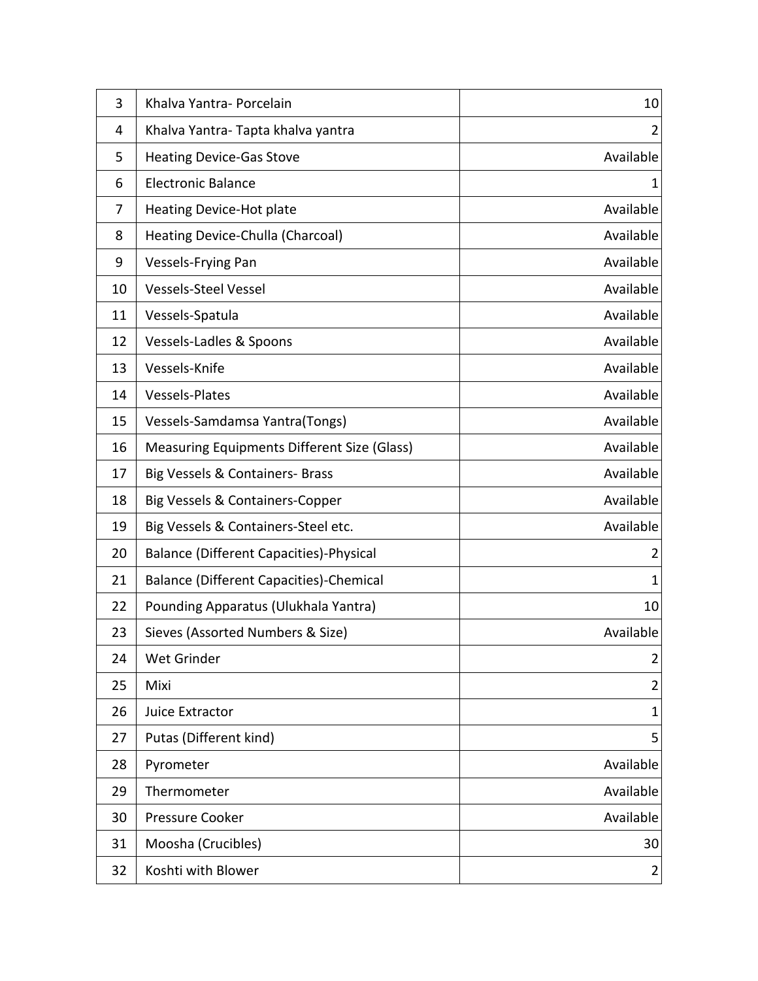| 3  | Khalva Yantra- Porcelain                       | 10             |
|----|------------------------------------------------|----------------|
| 4  | Khalva Yantra-Tapta khalva yantra              | 2              |
| 5  | <b>Heating Device-Gas Stove</b>                | Available      |
| 6  | <b>Electronic Balance</b>                      | 1              |
| 7  | <b>Heating Device-Hot plate</b>                | Available      |
| 8  | Heating Device-Chulla (Charcoal)               | Available      |
| 9  | Vessels-Frying Pan                             | Available      |
| 10 | <b>Vessels-Steel Vessel</b>                    | Available      |
| 11 | Vessels-Spatula                                | Available      |
| 12 | Vessels-Ladles & Spoons                        | Available      |
| 13 | Vessels-Knife                                  | Available      |
| 14 | <b>Vessels-Plates</b>                          | Available      |
| 15 | Vessels-Samdamsa Yantra(Tongs)                 | Available      |
| 16 | Measuring Equipments Different Size (Glass)    | Available      |
| 17 | Big Vessels & Containers- Brass                | Available      |
| 18 | Big Vessels & Containers-Copper                | Available      |
| 19 | Big Vessels & Containers-Steel etc.            | Available      |
| 20 | <b>Balance (Different Capacities)-Physical</b> | 2              |
| 21 | <b>Balance (Different Capacities)-Chemical</b> | 1              |
| 22 | Pounding Apparatus (Ulukhala Yantra)           | 10             |
| 23 | Sieves (Assorted Numbers & Size)               | Available      |
| 24 | Wet Grinder                                    | $\overline{2}$ |
| 25 | Mixi                                           | $\overline{2}$ |
| 26 | Juice Extractor                                | $\mathbf{1}$   |
| 27 | Putas (Different kind)                         | 5              |
| 28 | Pyrometer                                      | Available      |
| 29 | Thermometer                                    | Available      |
| 30 | <b>Pressure Cooker</b>                         | Available      |
| 31 | Moosha (Crucibles)                             | 30             |
| 32 | Koshti with Blower                             | $\overline{2}$ |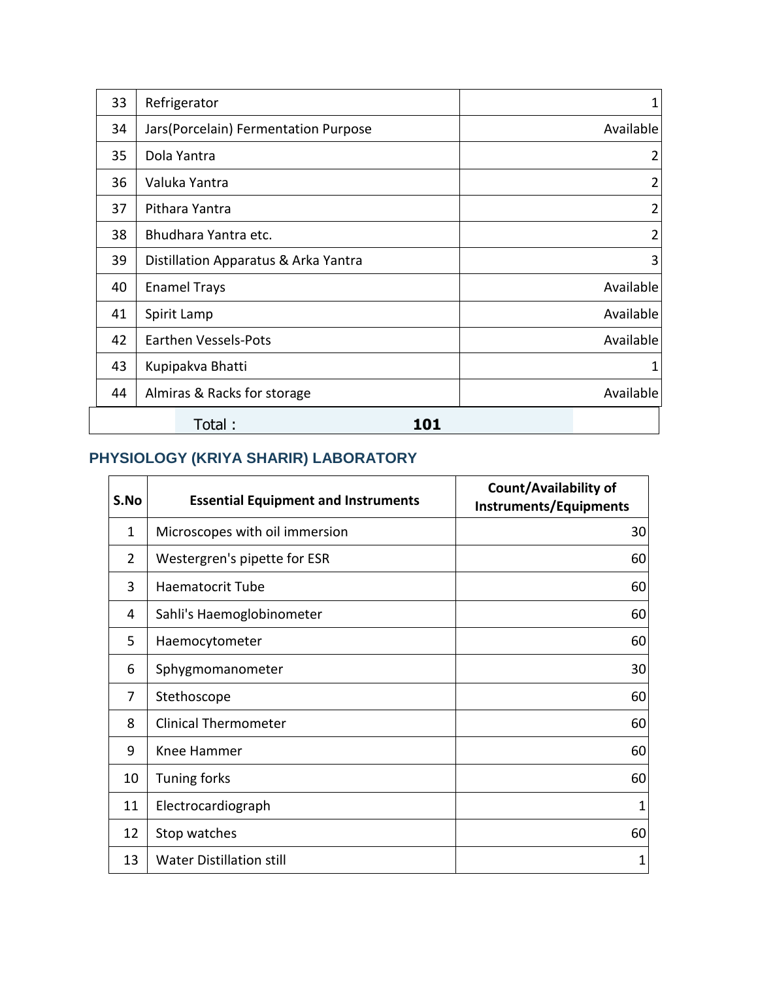| 33 | Refrigerator                         |                |  |  |  |  |
|----|--------------------------------------|----------------|--|--|--|--|
| 34 | Jars(Porcelain) Fermentation Purpose | Available      |  |  |  |  |
| 35 | Dola Yantra                          | 2              |  |  |  |  |
| 36 | Valuka Yantra                        | 2              |  |  |  |  |
| 37 | Pithara Yantra                       | 2              |  |  |  |  |
| 38 | Bhudhara Yantra etc.                 | $\overline{2}$ |  |  |  |  |
| 39 | Distillation Apparatus & Arka Yantra | 3              |  |  |  |  |
| 40 | <b>Enamel Trays</b>                  | Available      |  |  |  |  |
| 41 | Spirit Lamp                          | Available      |  |  |  |  |
| 42 | <b>Earthen Vessels-Pots</b>          | Available      |  |  |  |  |
| 43 | Kupipakva Bhatti                     | 1              |  |  |  |  |
| 44 | Almiras & Racks for storage          | Available      |  |  |  |  |
|    | Total:<br>101                        |                |  |  |  |  |

#### **PHYSIOLOGY (KRIYA SHARIR) LABORATORY**

| S.No           | <b>Essential Equipment and Instruments</b> | Count/Availability of<br><b>Instruments/Equipments</b> |
|----------------|--------------------------------------------|--------------------------------------------------------|
| 1              | Microscopes with oil immersion             | 30                                                     |
| $\overline{2}$ | Westergren's pipette for ESR               | 60                                                     |
| 3              | <b>Haematocrit Tube</b>                    | 60                                                     |
| 4              | Sahli's Haemoglobinometer                  | 60                                                     |
| 5              | Haemocytometer                             | 60                                                     |
| 6              | Sphygmomanometer                           | 30                                                     |
| 7              | Stethoscope                                | 60                                                     |
| 8              | <b>Clinical Thermometer</b>                | 60                                                     |
| 9              | Knee Hammer                                | 60                                                     |
| 10             | Tuning forks                               | 60                                                     |
| 11             | Electrocardiograph                         | 1                                                      |
| 12             | Stop watches                               | 60                                                     |
| 13             | <b>Water Distillation still</b>            | 1                                                      |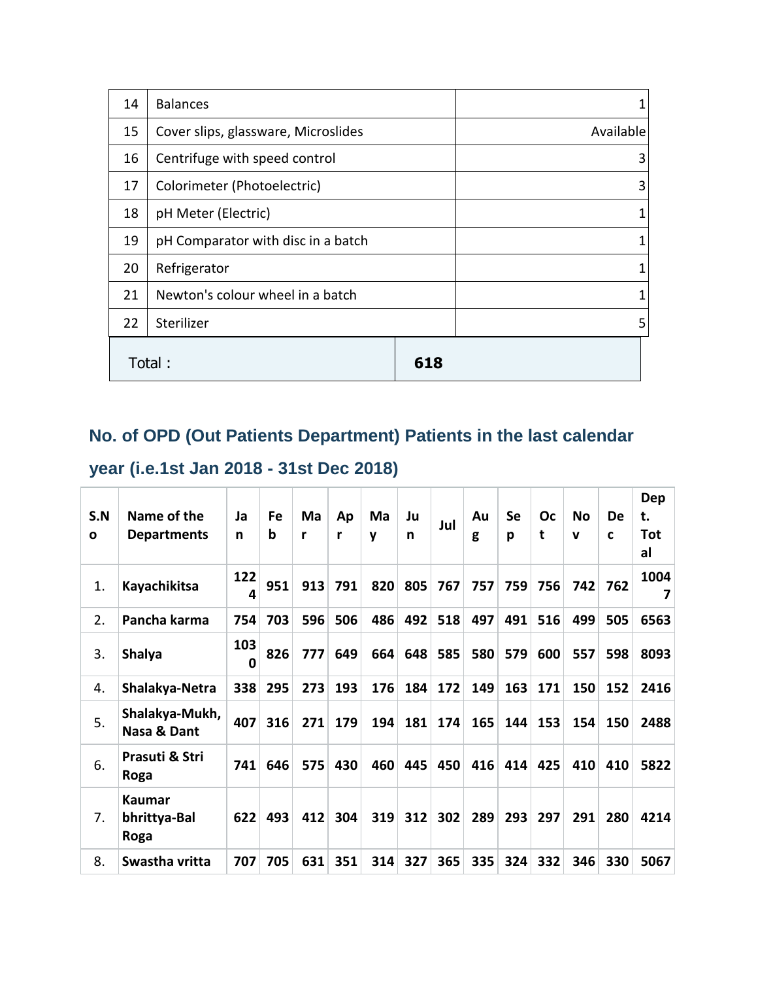| 14 | <b>Balances</b>                     |           |
|----|-------------------------------------|-----------|
| 15 | Cover slips, glassware, Microslides | Available |
| 16 | Centrifuge with speed control       | 3         |
| 17 | Colorimeter (Photoelectric)         | 3         |
| 18 | pH Meter (Electric)                 | 1         |
| 19 | pH Comparator with disc in a batch  | 1         |
| 20 | Refrigerator                        | 1         |
| 21 | Newton's colour wheel in a batch    | 1         |
| 22 | Sterilizer                          | 5         |
|    | Total:                              |           |

# **No. of OPD (Out Patients Department) Patients in the last calendar**

### **year (i.e.1st Jan 2018 - 31st Dec 2018)**

|              |                                       |          |     |     |     |     |     |     |     |           |     |             |     | <b>Dep</b> |
|--------------|---------------------------------------|----------|-----|-----|-----|-----|-----|-----|-----|-----------|-----|-------------|-----|------------|
| S.N          | Name of the                           | Ja       | Fe  | Ma  | Ap  | Ma  | Ju  | Jul | Au  | <b>Se</b> | Oc  | No          | De  | t.         |
| $\mathbf{o}$ | <b>Departments</b>                    | n        | b   | r   | r   | v   | n   |     | g   | р         | t   | $\mathbf v$ | C   | Tot<br>al  |
| 1.           | Kayachikitsa                          | 122<br>4 | 951 | 913 | 791 | 820 | 805 | 767 | 757 | 759       | 756 | 742         | 762 | 1004<br>7  |
| 2.           | Pancha karma                          | 754      | 703 | 596 | 506 | 486 | 492 | 518 | 497 | 491       | 516 | 499         | 505 | 6563       |
| 3.           | <b>Shalya</b>                         | 103<br>0 | 826 | 777 | 649 | 664 | 648 | 585 | 580 | 579       | 600 | 557         | 598 | 8093       |
| 4.           | Shalakya-Netra                        | 338      | 295 | 273 | 193 | 176 | 184 | 172 | 149 | 163       | 171 | 150         | 152 | 2416       |
| 5.           | Shalakya-Mukh,<br>Nasa & Dant         | 407      | 316 | 271 | 179 | 194 | 181 | 174 | 165 | 144       | 153 | 154         | 150 | 2488       |
| 6.           | Prasuti & Stri<br>Roga                | 741      | 646 | 575 | 430 | 460 | 445 | 450 | 416 | 414       | 425 | 410         | 410 | 5822       |
| 7.           | <b>Kaumar</b><br>bhrittya-Bal<br>Roga | 622      | 493 | 412 | 304 | 319 | 312 | 302 | 289 | 293       | 297 | 291         | 280 | 4214       |
| 8.           | Swastha vritta                        | 707      | 705 | 631 | 351 | 314 | 327 | 365 | 335 | 324       | 332 | 346         | 330 | 5067       |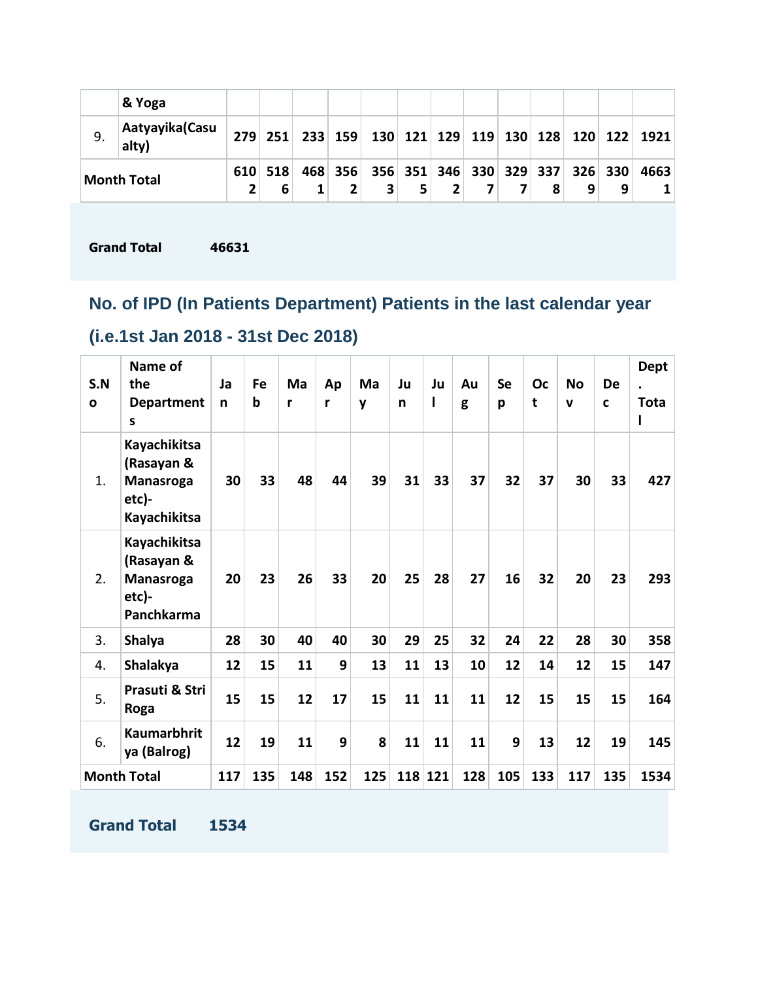|                    | & Yoga                   |     |              |   |                                                           |  |  |   |   |      |
|--------------------|--------------------------|-----|--------------|---|-----------------------------------------------------------|--|--|---|---|------|
| 9.                 | Aatyayika (Casu<br>alty) | 279 | 251          |   | 233   159   130   121   129   119   130   128   120   122 |  |  |   |   | 1921 |
| <b>Month Total</b> |                          |     | 610 518<br>6 | 2 | 468 356 356 351 346 330 329 337 326 330                   |  |  | 9 | 9 | 4663 |

**Grand Total 46631**

### **No. of IPD (In Patients Department) Patients in the last calendar year**

## **(i.e.1st Jan 2018 - 31st Dec 2018)**

| S.N<br>$\mathbf{o}$ | Name of<br>the<br><b>Department</b><br>s                                | Ja<br>n | Fe<br>b | Ma<br>r | Ap<br>r | Ma<br>y | Ju<br>n | Ju<br>I | Au<br>g | <b>Se</b><br>p | Oc<br>$\mathbf t$ | <b>No</b><br>$\mathbf v$ | <b>De</b><br>C | <b>Dept</b><br>$\bullet$<br><b>Tota</b> |
|---------------------|-------------------------------------------------------------------------|---------|---------|---------|---------|---------|---------|---------|---------|----------------|-------------------|--------------------------|----------------|-----------------------------------------|
| 1.                  | Kayachikitsa<br>(Rasayan &<br><b>Manasroga</b><br>etc)-<br>Kayachikitsa | 30      | 33      | 48      | 44      | 39      | 31      | 33      | 37      | 32             | 37                | 30                       | 33             | 427                                     |
| 2.                  | Kayachikitsa<br>(Rasayan &<br><b>Manasroga</b><br>etc)-<br>Panchkarma   | 20      | 23      | 26      | 33      | 20      | 25      | 28      | 27      | 16             | 32                | 20                       | 23             | 293                                     |
| 3.                  | <b>Shalya</b>                                                           | 28      | 30      | 40      | 40      | 30      | 29      | 25      | 32      | 24             | 22                | 28                       | 30             | 358                                     |
| 4.                  | Shalakya                                                                | 12      | 15      | 11      | 9       | 13      | 11      | 13      | 10      | 12             | 14                | 12                       | 15             | 147                                     |
| 5.                  | Prasuti & Stri<br>Roga                                                  | 15      | 15      | 12      | 17      | 15      | 11      | 11      | 11      | 12             | 15                | 15                       | 15             | 164                                     |
| 6.                  | <b>Kaumarbhrit</b><br>ya (Balrog)                                       | 12      | 19      | 11      | 9       | 8       | 11      | 11      | 11      | 9              | 13                | 12                       | 19             | 145                                     |
| <b>Month Total</b>  |                                                                         | 117     | 135     | 148     | 152     | 125     |         | 118 121 | 128     | 105            | 133               | 117                      | 135            | 1534                                    |

**Grand Total 1534**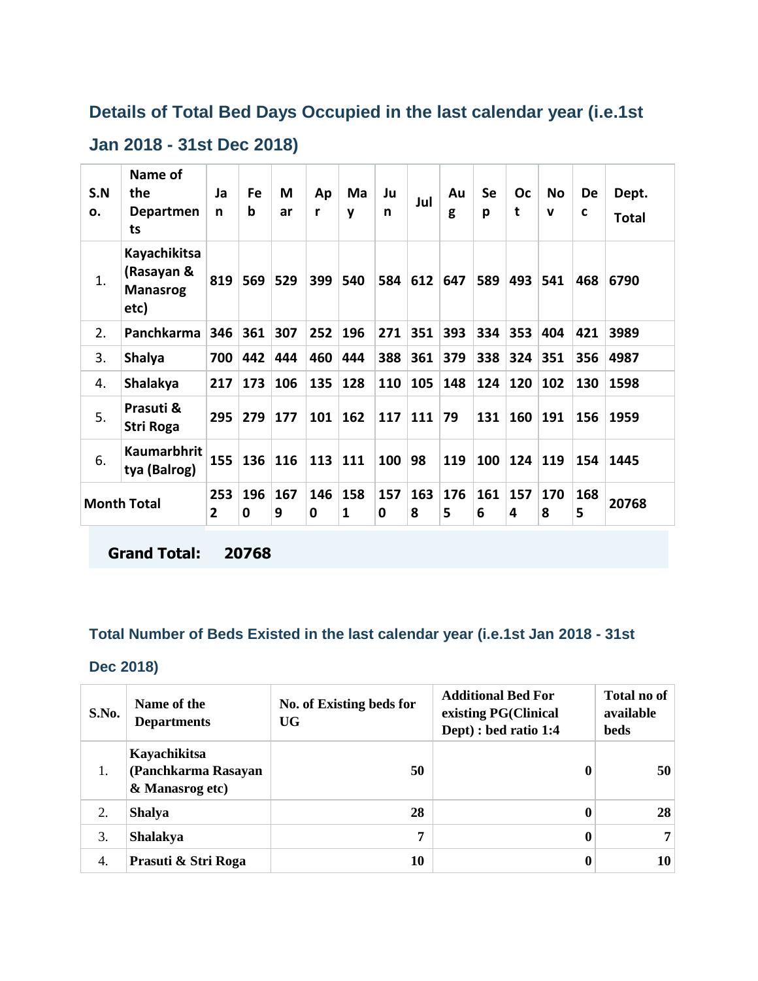#### **Details of Total Bed Days Occupied in the last calendar year (i.e.1st**

#### **Jan 2018 - 31st Dec 2018)**

| S.N<br>ο.          | Name of<br>the<br>Departmen<br>ts                     | Ja<br>n               | Fe<br>b  | M<br>ar  | Ap<br>r  | Ma<br>y  | Ju<br>n  | Jul      | Au<br>g  | Se<br>р  | Oc<br>t  | <b>No</b><br>v | De<br>C  | Dept.<br>Total |
|--------------------|-------------------------------------------------------|-----------------------|----------|----------|----------|----------|----------|----------|----------|----------|----------|----------------|----------|----------------|
| 1.                 | Kayachikitsa<br>(Rasayan &<br><b>Manasrog</b><br>etc) | 819                   | 569      | 529      | 399      | 540      | 584      | 612      | 647      | 589      | 493      | 541            | 468      | 6790           |
| 2.                 | Panchkarma                                            | 346                   | 361      | 307      | 252      | 196      | 271      | 351      | 393      | 334      | 353      | 404            | 421      | 3989           |
| 3.                 | <b>Shalya</b>                                         | 700                   | 442      | 444      | 460      | 444      | 388      | 361      | 379      | 338      | 324      | 351            | 356      | 4987           |
| 4.                 | <b>Shalakya</b>                                       | 217                   | 173      | 106      | 135      | 128      | 110      | 105      | 148      | 124      | 120      | 102            | 130      | 1598           |
| 5.                 | Prasuti &<br>Stri Roga                                | 295                   | 279      | 177      | 101      | 162      | 117      | 111      | 79       | 131      | 160      | 191            | 156      | 1959           |
| 6.                 | <b>Kaumarbhrit</b><br>tya (Balrog)                    | 155                   | 136      | 116      | 113      | 111      | 100      | 98       | 119      | 100      | 124      | 119            | 154      | 1445           |
| <b>Month Total</b> |                                                       | 253<br>$\overline{2}$ | 196<br>0 | 167<br>9 | 146<br>0 | 158<br>1 | 157<br>0 | 163<br>8 | 176<br>5 | 161<br>6 | 157<br>4 | 170<br>8       | 168<br>5 | 20768          |

**Grand Total: 20768**

#### **Total Number of Beds Existed in the last calendar year (i.e.1st Jan 2018 - 31st**

#### **Dec 2018)**

| S.No. | Name of the<br><b>Departments</b>                      | No. of Existing beds for<br>UG | <b>Additional Bed For</b><br>existing PG(Clinical<br>Dept) : bed ratio 1:4 | <b>Total no of</b><br>available<br>beds |
|-------|--------------------------------------------------------|--------------------------------|----------------------------------------------------------------------------|-----------------------------------------|
| 1.    | Kayachikitsa<br>(Panchkarma Rasayan<br>& Manasrog etc) | 50                             | 0                                                                          | 50                                      |
| 2.    | <b>Shalya</b>                                          | 28                             | 0                                                                          | 28                                      |
| 3.    | <b>Shalakya</b>                                        | 7                              | 0                                                                          | 7                                       |
| 4.    | Prasuti & Stri Roga                                    | 10                             | 0                                                                          | 10                                      |